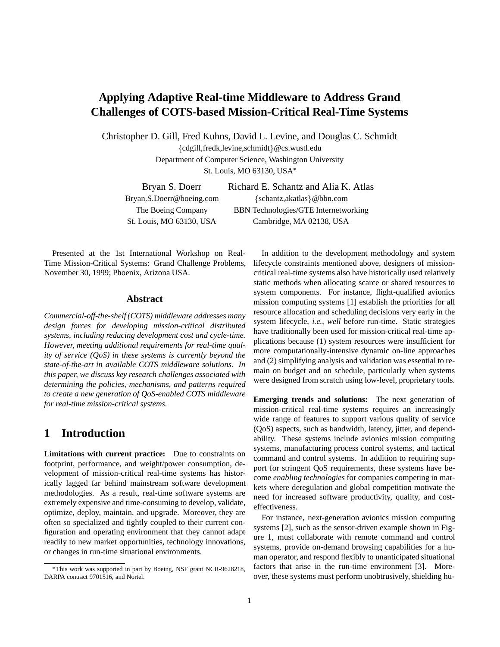# **Applying Adaptive Real-time Middleware to Address Grand Challenges of COTS-based Mission-Critical Real-Time Systems**

Christopher D. Gill, Fred Kuhns, David L. Levine, and Douglas C. Schmidt

{cdgill,fredk,levine,schmidt}@cs.wustl.edu Department of Computer Science, Washington University St. Louis, MO 63130, USA

Bryan S. Doerr Richard E. Schantz and Alia K. Atlas Bryan.S.Doerr@boeing.com {schantz,akatlas}@bbn.com The Boeing Company BBN Technologies/GTE Internetworking St. Louis, MO 63130, USA Cambridge, MA 02138, USA

Presented at the 1st International Workshop on Real-Time Mission-Critical Systems: Grand Challenge Problems, November 30, 1999; Phoenix, Arizona USA.

#### **Abstract**

*Commercial-off-the-shelf (COTS) middleware addresses many design forces for developing mission-critical distributed systems, including reducing development cost and cycle-time. However, meeting additional requirements for real-time quality of service (QoS) in these systems is currently beyond the state-of-the-art in available COTS middleware solutions. In this paper, we discuss key research challenges associated with determining the policies, mechanisms, and patterns required to create a new generation of QoS-enabled COTS middleware for real-time mission-critical systems.*

# **1 Introduction**

**Limitations with current practice:** Due to constraints on footprint, performance, and weight/power consumption, development of mission-critical real-time systems has historically lagged far behind mainstream software development methodologies. As a result, real-time software systems are extremely expensive and time-consuming to develop, validate, optimize, deploy, maintain, and upgrade. Moreover, they are often so specialized and tightly coupled to their current configuration and operating environment that they cannot adapt readily to new market opportunities, technology innovations, or changes in run-time situational environments.

In addition to the development methodology and system lifecycle constraints mentioned above, designers of missioncritical real-time systems also have historically used relatively static methods when allocating scarce or shared resources to system components. For instance, flight-qualified avionics mission computing systems [1] establish the priorities for all resource allocation and scheduling decisions very early in the system lifecycle, *i.e.*, *well* before run-time. Static strategies have traditionally been used for mission-critical real-time applications because (1) system resources were insufficient for more computationally-intensive dynamic on-line approaches and (2) simplifying analysis and validation was essential to remain on budget and on schedule, particularly when systems were designed from scratch using low-level, proprietary tools.

**Emerging trends and solutions:** The next generation of mission-critical real-time systems requires an increasingly wide range of features to support various quality of service (QoS) aspects, such as bandwidth, latency, jitter, and dependability. These systems include avionics mission computing systems, manufacturing process control systems, and tactical command and control systems. In addition to requiring support for stringent QoS requirements, these systems have become *enabling technologies* for companies competing in markets where deregulation and global competition motivate the need for increased software productivity, quality, and costeffectiveness.

For instance, next-generation avionics mission computing systems [2], such as the sensor-driven example shown in Figure 1, must collaborate with remote command and control systems, provide on-demand browsing capabilities for a human operator, and respond flexibly to unanticipated situational factors that arise in the run-time environment [3]. Moreover, these systems must perform unobtrusively, shielding hu-

This work was supported in part by Boeing, NSF grant NCR-9628218, DARPA contract 9701516, and Nortel.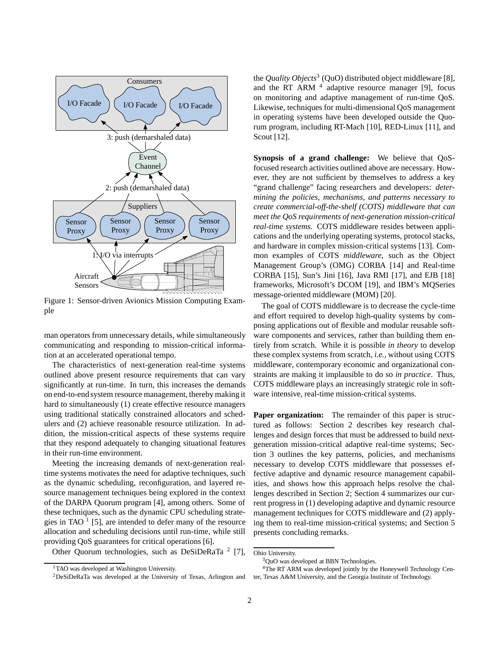

Figure 1: Sensor-driven Avionics Mission Computing Example

man operators from unnecessary details, while simultaneously communicating and responding to mission-critical information at an accelerated operational tempo.

The characteristics of next-generation real-time systems outlined above present resource requirements that can vary significantly at run-time. In turn, this increases the demands on end-to-end system resource management, thereby making it hard to simultaneously (1) create effective resource managers using traditional statically constrained allocators and schedulers and (2) achieve reasonable resource utilization. In addition, the mission-critical aspects of these systems require that they respond adequately to changing situational features in their run-time environment.

Meeting the increasing demands of next-generation realtime systems motivates the need for adaptive techniques, such as the dynamic scheduling, reconfiguration, and layered resource management techniques being explored in the context of the DARPA Quorum program [4], among others. Some of these techniques, such as the dynamic CPU scheduling strategies in TAO  $<sup>1</sup>$  [5], are intended to defer many of the resource</sup> allocation and scheduling decisions until run-time, while still providing QoS guarantees for critical operations [6].

Other Quorum technologies, such as DeSiDeRaTa  $2$  [7],

the *Quality Objects*<sup>3</sup> (QuO) distributed object middleware [8], and the RT ARM  $<sup>4</sup>$  adaptive resource manager [9], focus</sup> on monitoring and adaptive management of run-time QoS. Likewise, techniques for multi-dimensional QoS management in operating systems have been developed outside the Quorum program, including RT-Mach [10], RED-Linux [11], and Scout [12].

**Synopsis of a grand challenge:** We believe that QoSfocused research activities outlined above are necessary. However, they are not sufficient by themselves to address a key "grand challenge" facing researchers and developers: *determining the policies, mechanisms, and patterns necessary to create commercial-off-the-shelf (COTS) middleware that can meet the QoS requirements of next-generation mission-critical real-time systems*. COTS middleware resides between applications and the underlying operating systems, protocol stacks, and hardware in complex mission-critical systems [13]. Common examples of COTS *middleware*, such as the Object Management Group's (OMG) CORBA [14] and Real-time CORBA [15], Sun's Jini [16], Java RMI [17], and EJB [18] frameworks, Microsoft's DCOM [19], and IBM's MQSeries message-oriented middleware (MOM) [20].

The goal of COTS middleware is to decrease the cycle-time and effort required to develop high-quality systems by composing applications out of flexible and modular reusable software components and services, rather than building them entirely from scratch. While it is possible *in theory* to develop these complex systems from scratch, *i.e.*, without using COTS middleware, contemporary economic and organizational constraints are making it implausible to do so *in practice*. Thus, COTS middleware plays an increasingly strategic role in software intensive, real-time mission-critical systems.

**Paper organization:** The remainder of this paper is structured as follows: Section 2 describes key research challenges and design forces that must be addressed to build nextgeneration mission-critical adaptive real-time systems; Section 3 outlines the key patterns, policies, and mechanisms necessary to develop COTS middleware that possesses effective adaptive and dynamic resource management capabilities, and shows how this approach helps resolve the challenges described in Section 2; Section 4 summarizes our current progress in (1) developing adaptive and dynamic resource management techniques for COTS middleware and (2) applying them to real-time mission-critical systems; and Section 5 presents concluding remarks.

4The RT ARM was developed jointly by the Honeywell Technology Center, Texas A&M University, and the Georgia Institute of Technology.

<sup>&</sup>lt;sup>1</sup>TAO was developed at Washington University.

<sup>2</sup>DeSiDeRaTa was developed at the University of Texas, Arlington and

Ohio University.

<sup>&</sup>lt;sup>3</sup>OuO was developed at BBN Technologies.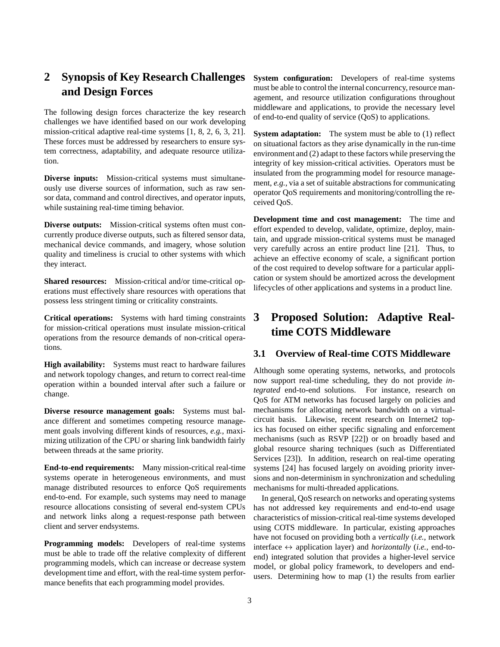# **2 Synopsis of Key Research Challenges and Design Forces**

The following design forces characterize the key research challenges we have identified based on our work developing mission-critical adaptive real-time systems [1, 8, 2, 6, 3, 21]. These forces must be addressed by researchers to ensure system correctness, adaptability, and adequate resource utilization.

**Diverse inputs:** Mission-critical systems must simultaneously use diverse sources of information, such as raw sensor data, command and control directives, and operator inputs, while sustaining real-time timing behavior.

**Diverse outputs:** Mission-critical systems often must concurrently produce diverse outputs, such as filtered sensor data, mechanical device commands, and imagery, whose solution quality and timeliness is crucial to other systems with which they interact.

**Shared resources:** Mission-critical and/or time-critical operations must effectively share resources with operations that possess less stringent timing or criticality constraints.

**Critical operations:** Systems with hard timing constraints for mission-critical operations must insulate mission-critical operations from the resource demands of non-critical operations.

**High availability:** Systems must react to hardware failures and network topology changes, and return to correct real-time operation within a bounded interval after such a failure or change.

**Diverse resource management goals:** Systems must balance different and sometimes competing resource management goals involving different kinds of resources, *e.g.*, maximizing utilization of the CPU or sharing link bandwidth fairly between threads at the same priority.

**End-to-end requirements:** Many mission-critical real-time systems operate in heterogeneous environments, and must manage distributed resources to enforce QoS requirements end-to-end. For example, such systems may need to manage resource allocations consisting of several end-system CPUs and network links along a request-response path between client and server endsystems.

**Programming models:** Developers of real-time systems must be able to trade off the relative complexity of different programming models, which can increase or decrease system development time and effort, with the real-time system performance benefits that each programming model provides.

**System configuration:** Developers of real-time systems must be able to control the internal concurrency, resource management, and resource utilization configurations throughout middleware and applications, to provide the necessary level of end-to-end quality of service (QoS) to applications.

**System adaptation:** The system must be able to (1) reflect on situational factors as they arise dynamically in the run-time environment and (2) adapt to these factors while preserving the integrity of key mission-critical activities. Operators must be insulated from the programming model for resource management, *e.g.*, via a set of suitable abstractions for communicating operator QoS requirements and monitoring/controlling the received QoS.

**Development time and cost management:** The time and effort expended to develop, validate, optimize, deploy, maintain, and upgrade mission-critical systems must be managed very carefully across an entire product line [21]. Thus, to achieve an effective economy of scale, a significant portion of the cost required to develop software for a particular application or system should be amortized across the development lifecycles of other applications and systems in a product line.

# **3 Proposed Solution: Adaptive Realtime COTS Middleware**

## **3.1 Overview of Real-time COTS Middleware**

Although some operating systems, networks, and protocols now support real-time scheduling, they do not provide *integrated* end-to-end solutions. For instance, research on QoS for ATM networks has focused largely on policies and mechanisms for allocating network bandwidth on a virtualcircuit basis. Likewise, recent research on Internet2 topics has focused on either specific signaling and enforcement mechanisms (such as RSVP [22]) or on broadly based and global resource sharing techniques (such as Differentiated Services [23]). In addition, research on real-time operating systems [24] has focused largely on avoiding priority inversions and non-determinism in synchronization and scheduling mechanisms for multi-threaded applications.

In general, QoS research on networks and operating systems has not addressed key requirements and end-to-end usage characteristics of mission-critical real-time systems developed using COTS middleware. In particular, existing approaches have not focused on providing both a *vertically* (*i.e.*, network interface  $\leftrightarrow$  application layer) and *horizontally* (*i.e.*, end-toend) integrated solution that provides a higher-level service model, or global policy framework, to developers and endusers. Determining how to map (1) the results from earlier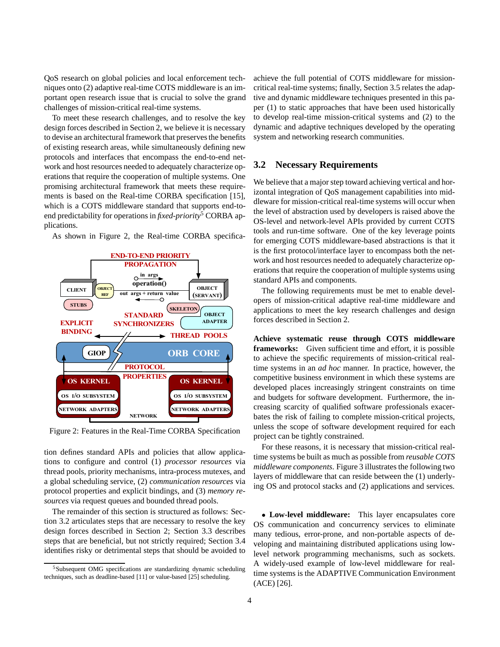QoS research on global policies and local enforcement techniques onto (2) adaptive real-time COTS middleware is an important open research issue that is crucial to solve the grand challenges of mission-critical real-time systems.

To meet these research challenges, and to resolve the key design forces described in Section 2, we believe it is necessary to devise an architectural framework that preserves the benefits of existing research areas, while simultaneously defining new protocols and interfaces that encompass the end-to-end network and host resources needed to adequately characterize operations that require the cooperation of multiple systems. One promising architectural framework that meets these requirements is based on the Real-time CORBA specification [15], which is a COTS middleware standard that supports end-toend predictability for operations in *fixed-priority*<sup>5</sup> CORBA applications.

As shown in Figure 2, the Real-time CORBA specifica-



Figure 2: Features in the Real-Time CORBA Specification

tion defines standard APIs and policies that allow applications to configure and control (1) *processor resources* via thread pools, priority mechanisms, intra-process mutexes, and a global scheduling service, (2) *communication resources* via protocol properties and explicit bindings, and (3) *memory resources* via request queues and bounded thread pools.

The remainder of this section is structured as follows: Section 3.2 articulates steps that are necessary to resolve the key design forces described in Section 2; Section 3.3 describes steps that are beneficial, but not strictly required; Section 3.4 identifies risky or detrimental steps that should be avoided to achieve the full potential of COTS middleware for missioncritical real-time systems; finally, Section 3.5 relates the adaptive and dynamic middleware techniques presented in this paper (1) to static approaches that have been used historically to develop real-time mission-critical systems and (2) to the dynamic and adaptive techniques developed by the operating system and networking research communities.

### **3.2 Necessary Requirements**

We believe that a major step toward achieving vertical and horizontal integration of QoS management capabilities into middleware for mission-critical real-time systems will occur when the level of abstraction used by developers is raised above the OS-level and network-level APIs provided by current COTS tools and run-time software. One of the key leverage points for emerging COTS middleware-based abstractions is that it is the first protocol/interface layer to encompass both the network and host resources needed to adequately characterize operations that require the cooperation of multiple systems using standard APIs and components.

The following requirements must be met to enable developers of mission-critical adaptive real-time middleware and applications to meet the key research challenges and design forces described in Section 2.

**Achieve systematic reuse through COTS middleware frameworks:** Given sufficient time and effort, it is possible to achieve the specific requirements of mission-critical realtime systems in an *ad hoc* manner. In practice, however, the competitive business environment in which these systems are developed places increasingly stringent constraints on time and budgets for software development. Furthermore, the increasing scarcity of qualified software professionals exacerbates the risk of failing to complete mission-critical projects, unless the scope of software development required for each project can be tightly constrained.

For these reasons, it is necessary that mission-critical realtime systems be built as much as possible from *reusable COTS middleware components*. Figure 3 illustrates the following two layers of middleware that can reside between the (1) underlying OS and protocol stacks and (2) applications and services.

 **Low-level middleware:** This layer encapsulates core OS communication and concurrency services to eliminate many tedious, error-prone, and non-portable aspects of developing and maintaining distributed applications using lowlevel network programming mechanisms, such as sockets. A widely-used example of low-level middleware for realtime systems is the ADAPTIVE Communication Environment (ACE) [26].

<sup>5</sup>Subsequent OMG specifications are standardizing dynamic scheduling techniques, such as deadline-based [11] or value-based [25] scheduling.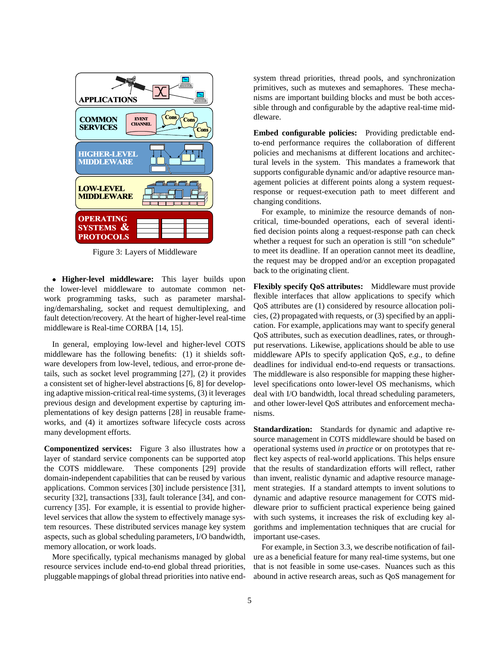

Figure 3: Layers of Middleware

 **Higher-level middleware:** This layer builds upon the lower-level middleware to automate common network programming tasks, such as parameter marshaling/demarshaling, socket and request demultiplexing, and fault detection/recovery. At the heart of higher-level real-time middleware is Real-time CORBA [14, 15].

In general, employing low-level and higher-level COTS middleware has the following benefits: (1) it shields software developers from low-level, tedious, and error-prone details, such as socket level programming [27], (2) it provides a consistent set of higher-level abstractions [6, 8] for developing adaptive mission-critical real-time systems, (3) it leverages previous design and development expertise by capturing implementations of key design patterns [28] in reusable frameworks, and (4) it amortizes software lifecycle costs across many development efforts.

**Componentized services:** Figure 3 also illustrates how a layer of standard service components can be supported atop the COTS middleware. These components [29] provide domain-independent capabilities that can be reused by various applications. Common services [30] include persistence [31], security [32], transactions [33], fault tolerance [34], and concurrency [35]. For example, it is essential to provide higherlevel services that allow the system to effectively manage system resources. These distributed services manage key system aspects, such as global scheduling parameters, I/O bandwidth, memory allocation, or work loads.

More specifically, typical mechanisms managed by global resource services include end-to-end global thread priorities, pluggable mappings of global thread priorities into native endsystem thread priorities, thread pools, and synchronization primitives, such as mutexes and semaphores. These mechanisms are important building blocks and must be both accessible through and configurable by the adaptive real-time middleware.

**Embed configurable policies:** Providing predictable endto-end performance requires the collaboration of different policies and mechanisms at different locations and architectural levels in the system. This mandates a framework that supports configurable dynamic and/or adaptive resource management policies at different points along a system requestresponse or request-execution path to meet different and changing conditions.

For example, to minimize the resource demands of noncritical, time-bounded operations, each of several identified decision points along a request-response path can check whether a request for such an operation is still "on schedule" to meet its deadline. If an operation cannot meet its deadline, the request may be dropped and/or an exception propagated back to the originating client.

**Flexibly specify QoS attributes:** Middleware must provide flexible interfaces that allow applications to specify which QoS attributes are (1) considered by resource allocation policies, (2) propagated with requests, or (3) specified by an application. For example, applications may want to specify general QoS attributes, such as execution deadlines, rates, or throughput reservations. Likewise, applications should be able to use middleware APIs to specify application QoS, *e.g.*, to define deadlines for individual end-to-end requests or transactions. The middleware is also responsible for mapping these higherlevel specifications onto lower-level OS mechanisms, which deal with I/O bandwidth, local thread scheduling parameters, and other lower-level QoS attributes and enforcement mechanisms.

**Standardization:** Standards for dynamic and adaptive resource management in COTS middleware should be based on operational systems used *in practice* or on prototypes that reflect key aspects of real-world applications. This helps ensure that the results of standardization efforts will reflect, rather than invent, realistic dynamic and adaptive resource management strategies. If a standard attempts to invent solutions to dynamic and adaptive resource management for COTS middleware prior to sufficient practical experience being gained with such systems, it increases the risk of excluding key algorithms and implementation techniques that are crucial for important use-cases.

For example, in Section 3.3, we describe notification of failure as a beneficial feature for many real-time systems, but one that is not feasible in some use-cases. Nuances such as this abound in active research areas, such as QoS management for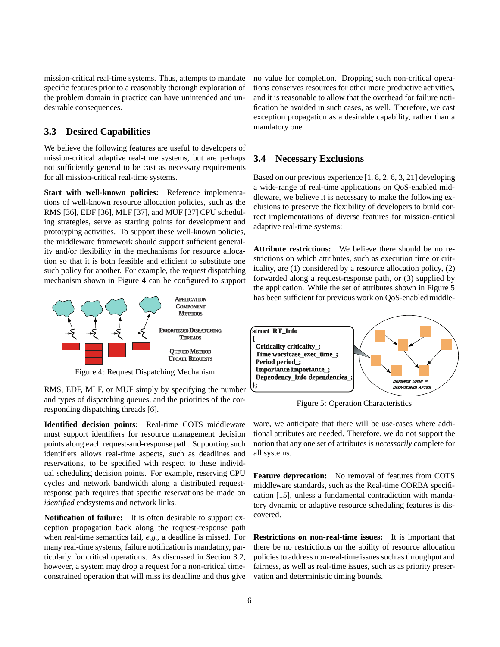mission-critical real-time systems. Thus, attempts to mandate specific features prior to a reasonably thorough exploration of the problem domain in practice can have unintended and undesirable consequences.

### **3.3 Desired Capabilities**

We believe the following features are useful to developers of mission-critical adaptive real-time systems, but are perhaps not sufficiently general to be cast as necessary requirements for all mission-critical real-time systems.

**Start with well-known policies:** Reference implementations of well-known resource allocation policies, such as the RMS [36], EDF [36], MLF [37], and MUF [37] CPU scheduling strategies, serve as starting points for development and prototyping activities. To support these well-known policies, the middleware framework should support sufficient generality and/or flexibility in the mechanisms for resource allocation so that it is both feasible and efficient to substitute one such policy for another. For example, the request dispatching mechanism shown in Figure 4 can be configured to support



Figure 4: Request Dispatching Mechanism

RMS, EDF, MLF, or MUF simply by specifying the number and types of dispatching queues, and the priorities of the corresponding dispatching threads [6].

**Identified decision points:** Real-time COTS middleware must support identifiers for resource management decision points along each request-and-response path. Supporting such identifiers allows real-time aspects, such as deadlines and reservations, to be specified with respect to these individual scheduling decision points. For example, reserving CPU cycles and network bandwidth along a distributed requestresponse path requires that specific reservations be made on *identified* endsystems and network links.

**Notification of failure:** It is often desirable to support exception propagation back along the request-response path when real-time semantics fail, *e.g.*, a deadline is missed. For many real-time systems, failure notification is mandatory, particularly for critical operations. As discussed in Section 3.2, however, a system may drop a request for a non-critical timeconstrained operation that will miss its deadline and thus give no value for completion. Dropping such non-critical operations conserves resources for other more productive activities, and it is reasonable to allow that the overhead for failure notification be avoided in such cases, as well. Therefore, we cast exception propagation as a desirable capability, rather than a mandatory one.

#### **3.4 Necessary Exclusions**

Based on our previous experience [1, 8, 2, 6, 3, 21] developing a wide-range of real-time applications on QoS-enabled middleware, we believe it is necessary to make the following exclusions to preserve the flexibility of developers to build correct implementations of diverse features for mission-critical adaptive real-time systems:

**Attribute restrictions:** We believe there should be no restrictions on which attributes, such as execution time or criticality, are (1) considered by a resource allocation policy, (2) forwarded along a request-response path, or (3) supplied by the application. While the set of attributes shown in Figure 5 has been sufficient for previous work on QoS-enabled middle-



Figure 5: Operation Characteristics

ware, we anticipate that there will be use-cases where additional attributes are needed. Therefore, we do not support the notion that any one set of attributes is *necessarily* complete for all systems.

**Feature deprecation:** No removal of features from COTS middleware standards, such as the Real-time CORBA specification [15], unless a fundamental contradiction with mandatory dynamic or adaptive resource scheduling features is discovered.

**Restrictions on non-real-time issues:** It is important that there be no restrictions on the ability of resource allocation policies to address non-real-time issues such as throughput and fairness, as well as real-time issues, such as as priority preservation and deterministic timing bounds.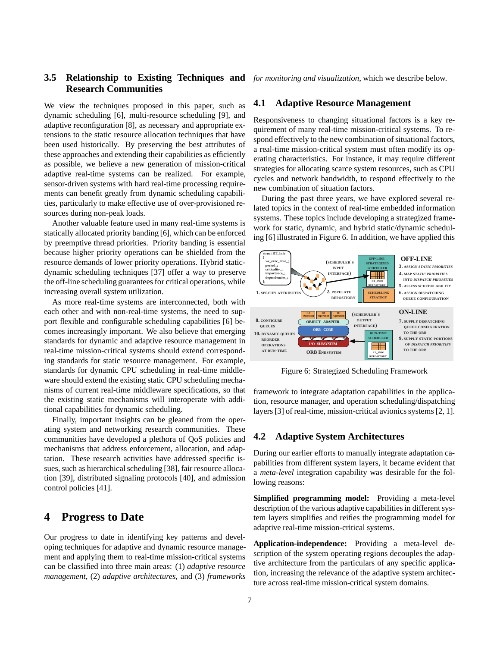## **3.5 Relationship to Existing Techniques and** *for monitoring and visualization*, which we describe below. **Research Communities**

We view the techniques proposed in this paper, such as dynamic scheduling [6], multi-resource scheduling [9], and adaptive reconfiguration [8], as necessary and appropriate extensions to the static resource allocation techniques that have been used historically. By preserving the best attributes of these approaches and extending their capabilities as efficiently as possible, we believe a new generation of mission-critical adaptive real-time systems can be realized. For example, sensor-driven systems with hard real-time processing requirements can benefit greatly from dynamic scheduling capabilities, particularly to make effective use of over-provisioned resources during non-peak loads.

Another valuable feature used in many real-time systems is statically allocated priority banding [6], which can be enforced by preemptive thread priorities. Priority banding is essential because higher priority operations can be shielded from the resource demands of lower priority operations. Hybrid staticdynamic scheduling techniques [37] offer a way to preserve the off-line scheduling guarantees for critical operations, while increasing overall system utilization.

As more real-time systems are interconnected, both with each other and with non-real-time systems, the need to support flexible and configurable scheduling capabilities [6] becomes increasingly important. We also believe that emerging standards for dynamic and adaptive resource management in real-time mission-critical systems should extend corresponding standards for static resource management. For example, standards for dynamic CPU scheduling in real-time middleware should extend the existing static CPU scheduling mechanisms of current real-time middleware specifications, so that the existing static mechanisms will interoperate with additional capabilities for dynamic scheduling.

Finally, important insights can be gleaned from the operating system and networking research communities. These communities have developed a plethora of QoS policies and mechanisms that address enforcement, allocation, and adaptation. These research activities have addressed specific issues, such as hierarchical scheduling [38], fair resource allocation [39], distributed signaling protocols [40], and admission control policies [41].

# **4 Progress to Date**

Our progress to date in identifying key patterns and developing techniques for adaptive and dynamic resource management and applying them to real-time mission-critical systems can be classified into three main areas: (1) *adaptive resource management*, (2) *adaptive architectures*, and (3) *frameworks*

#### **4.1 Adaptive Resource Management**

Responsiveness to changing situational factors is a key requirement of many real-time mission-critical systems. To respond effectively to the new combination of situational factors, a real-time mission-critical system must often modify its operating characteristics. For instance, it may require different strategies for allocating scarce system resources, such as CPU cycles and network bandwidth, to respond effectively to the new combination of situation factors.

During the past three years, we have explored several related topics in the context of real-time embedded information systems. These topics include developing a strategized framework for static, dynamic, and hybrid static/dynamic scheduling [6] illustrated in Figure 6. In addition, we have applied this



Figure 6: Strategized Scheduling Framework

framework to integrate adaptation capabilities in the application, resource manager, and operation scheduling/dispatching layers [3] of real-time, mission-critical avionics systems [2, 1].

### **4.2 Adaptive System Architectures**

During our earlier efforts to manually integrate adaptation capabilities from different system layers, it became evident that a *meta-level* integration capability was desirable for the following reasons:

**Simplified programming model:** Providing a meta-level description of the various adaptive capabilities in different system layers simplifies and reifies the programming model for adaptive real-time mission-critical systems.

**Application-independence:** Providing a meta-level description of the system operating regions decouples the adaptive architecture from the particulars of any specific application, increasing the relevance of the adaptive system architecture across real-time mission-critical system domains.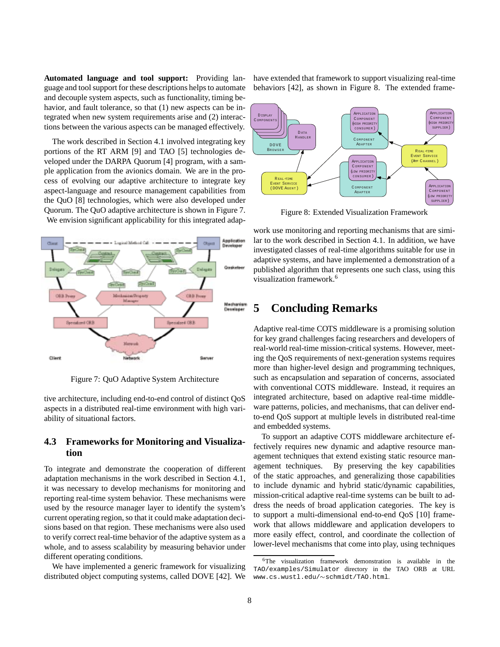**Automated language and tool support:** Providing language and tool support for these descriptions helps to automate and decouple system aspects, such as functionality, timing behavior, and fault tolerance, so that  $(1)$  new aspects can be integrated when new system requirements arise and (2) interactions between the various aspects can be managed effectively.

The work described in Section 4.1 involved integrating key portions of the RT ARM [9] and TAO [5] technologies developed under the DARPA Quorum [4] program, with a sample application from the avionics domain. We are in the process of evolving our adaptive architecture to integrate key aspect-language and resource management capabilities from the QuO [8] technologies, which were also developed under Quorum. The QuO adaptive architecture is shown in Figure 7. We envision significant applicability for this integrated adap-



Figure 7: QuO Adaptive System Architecture

tive architecture, including end-to-end control of distinct QoS aspects in a distributed real-time environment with high variability of situational factors.

## **4.3 Frameworks for Monitoring and Visualization**

To integrate and demonstrate the cooperation of different adaptation mechanisms in the work described in Section 4.1, it was necessary to develop mechanisms for monitoring and reporting real-time system behavior. These mechanisms were used by the resource manager layer to identify the system's current operating region, so that it could make adaptation decisions based on that region. These mechanisms were also used to verify correct real-time behavior of the adaptive system as a whole, and to assess scalability by measuring behavior under different operating conditions.

We have implemented a generic framework for visualizing distributed object computing systems, called DOVE [42]. We have extended that framework to support visualizing real-time behaviors [42], as shown in Figure 8. The extended frame-



Figure 8: Extended Visualization Framework

work use monitoring and reporting mechanisms that are similar to the work described in Section 4.1. In addition, we have investigated classes of real-time algorithms suitable for use in adaptive systems, and have implemented a demonstration of a published algorithm that represents one such class, using this visualization framework.<sup>6</sup>

## **5 Concluding Remarks**

Adaptive real-time COTS middleware is a promising solution for key grand challenges facing researchers and developers of real-world real-time mission-critical systems. However, meeting the QoS requirements of next-generation systems requires more than higher-level design and programming techniques, such as encapsulation and separation of concerns, associated with conventional COTS middleware. Instead, it requires an integrated architecture, based on adaptive real-time middleware patterns, policies, and mechanisms, that can deliver endto-end QoS support at multiple levels in distributed real-time and embedded systems.

To support an adaptive COTS middleware architecture effectively requires new dynamic and adaptive resource management techniques that extend existing static resource management techniques. By preserving the key capabilities of the static approaches, and generalizing those capabilities to include dynamic and hybrid static/dynamic capabilities, mission-critical adaptive real-time systems can be built to address the needs of broad application categories. The key is to support a multi-dimensional end-to-end QoS [10] framework that allows middleware and application developers to more easily effect, control, and coordinate the collection of lower-level mechanisms that come into play, using techniques

<sup>6</sup>The visualization framework demonstration is available in the TAO/examples/Simulator directory in the TAO ORB at URL www.cs.wustl.edu/~schmidt/TAO.html.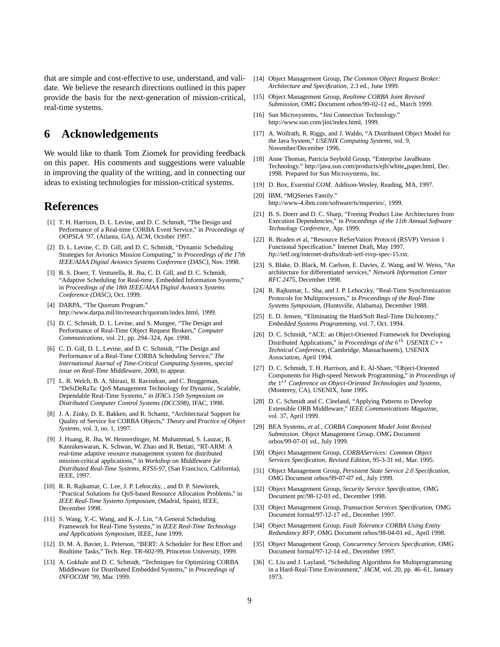that are simple and cost-effective to use, understand, and validate. We believe the research directions outlined in this paper provide the basis for the next-generation of mission-critical, real-time systems.

# **6 Acknowledgements**

We would like to thank Tom Ziomek for providing feedback on this paper. His comments and suggestions were valuable in improving the quality of the writing, and in connecting our ideas to existing technologies for mission-critical systems.

## **References**

- [1] T. H. Harrison, D. L. Levine, and D. C. Schmidt, "The Design and Performance of a Real-time CORBA Event Service," in *Proceedings of OOPSLA '97*, (Atlanta, GA), ACM, October 1997.
- [2] D. L. Levine, C. D. Gill, and D. C. Schmidt, "Dynamic Scheduling Strategies for Avionics Mission Computing," in *Proceedings of the 17th IEEE/AIAA Digital Avionics Systems Conference (DASC)*, Nov. 1998.
- [3] B. S. Doerr, T. Venturella, R. Jha, C. D. Gill, and D. C. Schmidt, "Adaptive Scheduling for Real-time, Embedded Information Systems," in *Proceedings of the 18th IEEE/AIAA Digital Avionics Systems Conference (DASC)*, Oct. 1999.
- [4] DARPA, "The Quorum Program." http://www.darpa.mil/ito/research/quorum/index.html, 1999.
- [5] D. C. Schmidt, D. L. Levine, and S. Mungee, "The Design and Performance of Real-Time Object Request Brokers," *Computer Communications*, vol. 21, pp. 294–324, Apr. 1998.
- [6] C. D. Gill, D. L. Levine, and D. C. Schmidt, "The Design and Performance of a Real-Time CORBA Scheduling Service," *The International Journal of Time-Critical Computing Systems, special issue on Real-Time Middleware*, 2000, to appear.
- [7] L. R. Welch, B. A. Shirazi, B. Ravindran, and C. Bruggeman, "DeSiDeRaTa: QoS Management Technology for Dynamic, Scalable, Dependable Real-Time Systems," in *IFACs 15th Symposium on Distributed Computer Control Systems (DCCS98)*, IFAC, 1998.
- [8] J. A. Zinky, D. E. Bakken, and R. Schantz, "Architectural Support for Quality of Service for CORBA Objects," *Theory and Practice of Object Systems*, vol. 3, no. 1, 1997.
- [9] J. Huang, R. Jha, W. Heimerdinger, M. Muhammad, S. Lauzac, B. Kannikeswaran, K. Schwan, W. Zhao and R. Bettati, "RT-ARM: A real-time adaptive resource management system for distributed mission-critical applications," in *Workshop on Middleware for Distributed Real-Time Systems, RTSS-97*, (San Francisco, California), IEEE, 1997.
- [10] R. R. Rajkumar, C. Lee, J. P. Lehoczky, , and D. P. Siewiorek, "Practical Solutions for QoS-based Resource Allocation Problems," in *IEEE Real-Time Systems Symposium*, (Madrid, Spain), IEEE, December 1998.
- [11] S. Wang, Y.-C. Wang, and K.-J. Lin, "A General Scheduling Framework for Real-Time Systems," in *IEEE Real-Time Technology and Applications Symposium*, IEEE, June 1999.
- [12] D. M. A. Bavier, L. Peterson, "BERT: A Scheduler for Best Effort and Realtime Tasks," Tech. Rep. TR-602-99, Princeton University, 1999.
- [13] A. Gokhale and D. C. Schmidt, "Techniques for Optimizing CORBA Middleware for Distributed Embedded Systems," in *Proceedings of INFOCOM '99*, Mar. 1999.
- [14] Object Management Group, *The Common Object Request Broker: Architecture and Specification*, 2.3 ed., June 1999.
- [15] Object Management Group, *Realtime CORBA Joint Revised Submission*, OMG Document orbos/99-02-12 ed., March 1999.
- [16] Sun Microsystems, "Jini Connection Technology." http://www.sun.com/jini/index.html, 1999.
- [17] A. Wollrath, R. Riggs, and J. Waldo, "A Distributed Object Model for the Java System," *USENIX Computing Systems*, vol. 9, November/December 1996.
- [18] Anne Thomas, Patricia Seybold Group, "Enterprise JavaBeans Technology." http://java.sun.com/products/ejb/white paper.html, Dec. 1998. Prepared for Sun Microsystems, Inc.
- [19] D. Box, *Essential COM*. Addison-Wesley, Reading, MA, 1997.
- [20] IBM, "MQSeries Family." http://www-4.ibm.com/software/ts/mqseries/, 1999.
- [21] B. S. Doerr and D. C. Sharp, "Freeing Product Line Architectures from Execution Dependencies," in *Proceedings of the 11th Annual Software Technology Conference*, Apr. 1999.
- [22] R. Braden et al, "Resource ReSerVation Protocol (RSVP) Version 1 Functional Specification." Internet Draft, May 1997. ftp://ietf.org/internet-drafts/draft-ietf-rsvp-spec-15.txt.
- [23] S. Blake, D. Black, M. Carlson, E. Davies, Z. Wang, and W. Weiss, "An architecture for differentiated services," *Network Information Center RFC 2475*, December 1998.
- [24] R. Rajkumar, L. Sha, and J. P. Lehoczky, "Real-Time Synchronization Protocols for Multiprocessors," in *Proceedings of the Real-Time Systems Symposium*, (Huntsville, Alabama), December 1988.
- [25] E. D. Jensen, "Eliminating the Hard/Soft Real-Time Dichotomy," *Embedded Systems Programming*, vol. 7, Oct. 1994.
- [26] D. C. Schmidt, "ACE: an Object-Oriented Framework for Developing Distributed Applications," in *Proceedings of the* 6<sup>th</sup> *USENIX C++ Technical Conference*, (Cambridge, Massachusetts), USENIX Association, April 1994.
- [27] D. C. Schmidt, T. H. Harrison, and E. Al-Shaer, "Object-Oriented Components for High-speed Network Programming," in *Proceedings of the* <sup>1</sup>st *Conference on Object-Oriented Technologies and Systems*, (Monterey, CA), USENIX, June 1995.
- [28] D. C. Schmidt and C. Cleeland, "Applying Patterns to Develop Extensible ORB Middleware," *IEEE Communications Magazine*, vol. 37, April 1999.
- [29] BEA Systems, *et al.*, *CORBA Component Model Joint Revised Submission*. Object Management Group, OMG Document orbos/99-07-01 ed., July 1999.
- [30] Object Management Group, *CORBAServices: Common Object Services Specification, Revised Edition*, 95-3-31 ed., Mar. 1995.
- [31] Object Management Group, *Persistent State Service 2.0 Specification*, OMG Document orbos/99-07-07 ed., July 1999.
- [32] Object Management Group, *Security Service Specification*, OMG Document ptc/98-12-03 ed., December 1998.
- [33] Object Management Group, *Transaction Services Specification*, OMG Document formal/97-12-17 ed., December 1997.
- [34] Object Management Group, *Fault Tolerance CORBA Using Entity Redundancy RFP*, OMG Document orbos/98-04-01 ed., April 1998.
- [35] Object Management Group, *Concurrency Services Specification*, OMG Document formal/97-12-14 ed., December 1997.
- [36] C. Liu and J. Layland, "Scheduling Algorithms for Multiprogramming in a Hard-Real-Time Environment," *JACM*, vol. 20, pp. 46–61, January 1973.